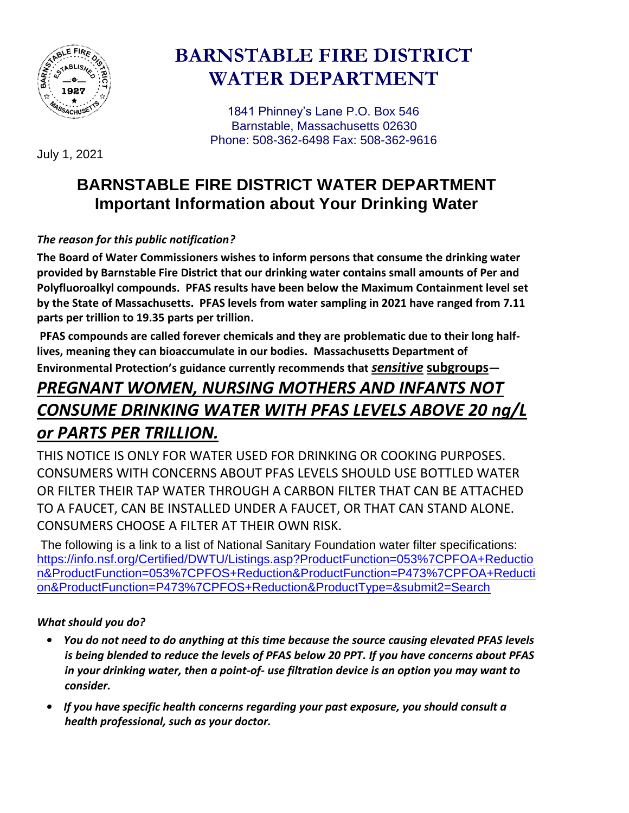

# **BARNSTABLE FIRE DISTRICT WATER DEPARTMENT**

 1841 Phinney's Lane P.O. Box 546 Barnstable, Massachusetts 02630 Phone: 508-362-6498 Fax: 508-362-9616

July 1, 2021

# **BARNSTABLE FIRE DISTRICT WATER DEPARTMENT Important Information about Your Drinking Water**

# *The reason for this public notification?*

**The Board of Water Commissioners wishes to inform persons that consume the drinking water provided by Barnstable Fire District that our drinking water contains small amounts of Per and Polyfluoroalkyl compounds. PFAS results have been below the Maximum Containment level set by the State of Massachusetts. PFAS levels from water sampling in 2021 have ranged from 7.11 parts per trillion to 19.35 parts per trillion.**

**PFAS compounds are called forever chemicals and they are problematic due to their long halflives, meaning they can bioaccumulate in our bodies. Massachusetts Department of** 

**Environmental Protection's guidance currently recommends that** *sensitive* **subgroups—**

# *PREGNANT WOMEN, NURSING MOTHERS AND INFANTS NOT CONSUME DRINKING WATER WITH PFAS LEVELS ABOVE 20 ng/L or PARTS PER TRILLION.*

THIS NOTICE IS ONLY FOR WATER USED FOR DRINKING OR COOKING PURPOSES. CONSUMERS WITH CONCERNS ABOUT PFAS LEVELS SHOULD USE BOTTLED WATER OR FILTER THEIR TAP WATER THROUGH A CARBON FILTER THAT CAN BE ATTACHED TO A FAUCET, CAN BE INSTALLED UNDER A FAUCET, OR THAT CAN STAND ALONE. CONSUMERS CHOOSE A FILTER AT THEIR OWN RISK.

The following is a link to a list of National Sanitary Foundation water filter specifications: [https://info.nsf.org/Certified/DWTU/Listings.asp?ProductFunction=053%7CPFOA+Reductio](https://info.nsf.org/Certified/DWTU/Listings.asp?ProductFunction=053%7CPFOA+Reduction&ProductFunction=053%7CPFOS+Reduction&ProductFunction=P473%7CPFOA+Reduction&ProductFunction=P473%7CPFOS+Reduction&ProductType=&submit2=Search) [n&ProductFunction=053%7CPFOS+Reduction&ProductFunction=P473%7CPFOA+Reducti](https://info.nsf.org/Certified/DWTU/Listings.asp?ProductFunction=053%7CPFOA+Reduction&ProductFunction=053%7CPFOS+Reduction&ProductFunction=P473%7CPFOA+Reduction&ProductFunction=P473%7CPFOS+Reduction&ProductType=&submit2=Search) [on&ProductFunction=P473%7CPFOS+Reduction&ProductType=&submit2=Search](https://info.nsf.org/Certified/DWTU/Listings.asp?ProductFunction=053%7CPFOA+Reduction&ProductFunction=053%7CPFOS+Reduction&ProductFunction=P473%7CPFOA+Reduction&ProductFunction=P473%7CPFOS+Reduction&ProductType=&submit2=Search)

## *What should you do?*

- *You do not need to do anything at this time because the source causing elevated PFAS levels is being blended to reduce the levels of PFAS below 20 PPT. If you have concerns about PFAS in your drinking water, then a point-of- use filtration device is an option you may want to consider.*
- *If you have specific health concerns regarding your past exposure, you should consult a health professional, such as your doctor.*